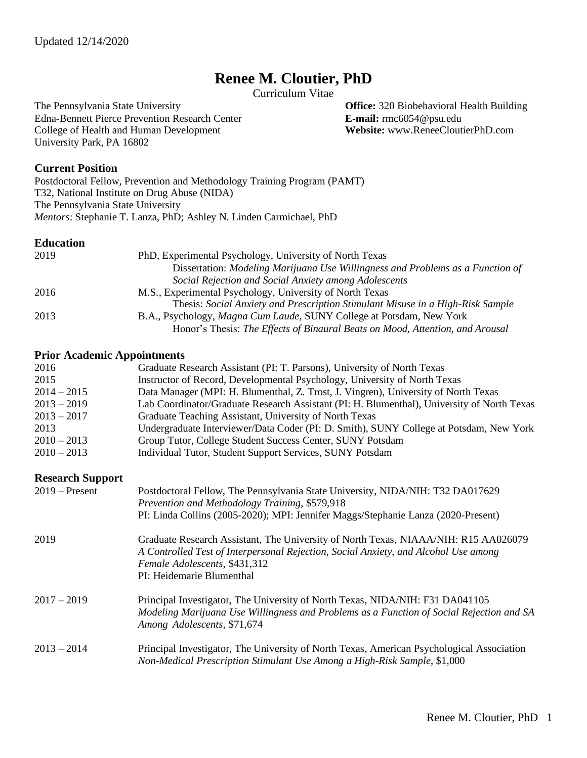# **Renee M. Cloutier, PhD**

Curriculum Vitae

The Pennsylvania State University<br>
Edna-Bennett Pierce Prevention Research Center<br> **Center E-mail:** rmc6054@psu.edu **E-mail:** rmc6054@psu.edu Edna-Bennett Pierce Prevention Research Center **E-mail:** rmc6054@psu.edu<br>
College of Health and Human Development **Website:** www.ReneeCloutierPhD.com College of Health and Human Development University Park, PA 16802

## **Current Position**

Postdoctoral Fellow, Prevention and Methodology Training Program (PAMT) T32, National Institute on Drug Abuse (NIDA) The Pennsylvania State University *Mentors*: Stephanie T. Lanza, PhD; Ashley N. Linden Carmichael, PhD

#### **Education**

| 2019 | PhD, Experimental Psychology, University of North Texas                        |
|------|--------------------------------------------------------------------------------|
|      | Dissertation: Modeling Marijuana Use Willingness and Problems as a Function of |
|      | Social Rejection and Social Anxiety among Adolescents                          |
| 2016 | M.S., Experimental Psychology, University of North Texas                       |
|      | Thesis: Social Anxiety and Prescription Stimulant Misuse in a High-Risk Sample |
| 2013 | B.A., Psychology, <i>Magna Cum Laude</i> , SUNY College at Potsdam, New York   |
|      | Honor's Thesis: The Effects of Binaural Beats on Mood, Attention, and Arousal  |

#### **Prior Academic Appointments**

| 2016                    | Graduate Research Assistant (PI: T. Parsons), University of North Texas                                                                                                                                                                  |
|-------------------------|------------------------------------------------------------------------------------------------------------------------------------------------------------------------------------------------------------------------------------------|
| 2015                    | Instructor of Record, Developmental Psychology, University of North Texas                                                                                                                                                                |
| $2014 - 2015$           | Data Manager (MPI: H. Blumenthal, Z. Trost, J. Vingren), University of North Texas                                                                                                                                                       |
| $2013 - 2019$           | Lab Coordinator/Graduate Research Assistant (PI: H. Blumenthal), University of North Texas                                                                                                                                               |
| $2013 - 2017$           | Graduate Teaching Assistant, University of North Texas                                                                                                                                                                                   |
| 2013                    | Undergraduate Interviewer/Data Coder (PI: D. Smith), SUNY College at Potsdam, New York                                                                                                                                                   |
| $2010 - 2013$           | Group Tutor, College Student Success Center, SUNY Potsdam                                                                                                                                                                                |
| $2010 - 2013$           | Individual Tutor, Student Support Services, SUNY Potsdam                                                                                                                                                                                 |
| <b>Research Support</b> |                                                                                                                                                                                                                                          |
| $2019 -$ Present        | Postdoctoral Fellow, The Pennsylvania State University, NIDA/NIH: T32 DA017629<br>Prevention and Methodology Training, \$579,918                                                                                                         |
|                         | PI: Linda Collins (2005-2020); MPI: Jennifer Maggs/Stephanie Lanza (2020-Present)                                                                                                                                                        |
| 2019                    | Graduate Research Assistant, The University of North Texas, NIAAA/NIH: R15 AA026079<br>A Controlled Test of Interpersonal Rejection, Social Anxiety, and Alcohol Use among<br>Female Adolescents, \$431,312<br>PI: Heidemarie Blumenthal |
| $2017 - 2019$           | Principal Investigator, The University of North Texas, NIDA/NIH: F31 DA041105<br>Modeling Marijuana Use Willingness and Problems as a Function of Social Rejection and SA<br>Among Adolescents, \$71,674                                 |
| $2013 - 2014$           | Principal Investigator, The University of North Texas, American Psychological Association<br>Non-Medical Prescription Stimulant Use Among a High-Risk Sample, \$1,000                                                                    |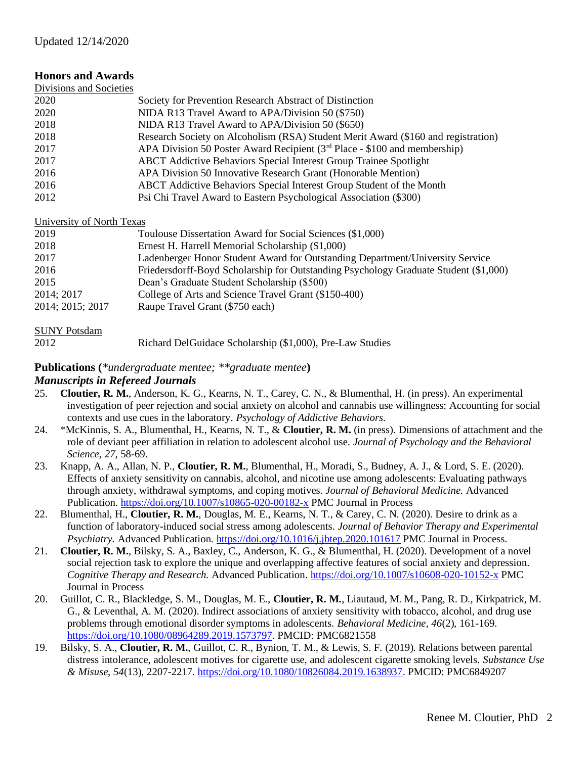# **Honors and Awards**

| Divisions and Societies |                                                                                   |
|-------------------------|-----------------------------------------------------------------------------------|
| 2020                    | Society for Prevention Research Abstract of Distinction                           |
| 2020                    | NIDA R13 Travel Award to APA/Division 50 (\$750)                                  |
| 2018                    | NIDA R13 Travel Award to APA/Division 50 (\$650)                                  |
| 2018                    | Research Society on Alcoholism (RSA) Student Merit Award (\$160 and registration) |
| 2017                    | APA Division 50 Poster Award Recipient ( $3rd$ Place - \$100 and membership)      |
| 2017                    | <b>ABCT</b> Addictive Behaviors Special Interest Group Trainee Spotlight          |
| 2016                    | APA Division 50 Innovative Research Grant (Honorable Mention)                     |
| 2016                    | ABCT Addictive Behaviors Special Interest Group Student of the Month              |
| 2012                    | Psi Chi Travel Award to Eastern Psychological Association (\$300)                 |

# University of North Texas

| 2019             | Toulouse Dissertation Award for Social Sciences (\$1,000)                            |
|------------------|--------------------------------------------------------------------------------------|
| 2018             | Ernest H. Harrell Memorial Scholarship (\$1,000)                                     |
| 2017             | Ladenberger Honor Student Award for Outstanding Department/University Service        |
| 2016             | Friedersdorff-Boyd Scholarship for Outstanding Psychology Graduate Student (\$1,000) |
| 2015             | Dean's Graduate Student Scholarship (\$500)                                          |
| 2014; 2017       | College of Arts and Science Travel Grant (\$150-400)                                 |
| 2014; 2015; 2017 | Raupe Travel Grant (\$750 each)                                                      |

## SUNY Potsdam

| $5 - 11$ $1 - 100$ |                                                           |  |
|--------------------|-----------------------------------------------------------|--|
| 2012               | Richard DelGuidace Scholarship (\$1,000), Pre-Law Studies |  |

# **Publications (***\*undergraduate mentee; \*\*graduate mentee***)**

## *Manuscripts in Refereed Journals*

- 25. **Cloutier, R. M.**, Anderson, K. G., Kearns, N. T., Carey, C. N., & Blumenthal, H. (in press). An experimental investigation of peer rejection and social anxiety on alcohol and cannabis use willingness: Accounting for social contexts and use cues in the laboratory. *Psychology of Addictive Behaviors.*
- 24. \*McKinnis, S. A., Blumenthal, H., Kearns, N. T., & **Cloutier, R. M.** (in press). Dimensions of attachment and the role of deviant peer affiliation in relation to adolescent alcohol use. *Journal of Psychology and the Behavioral Science, 27,* 58-69.
- 23. Knapp, A. A., Allan, N. P., **Cloutier, R. M.**, Blumenthal, H., Moradi, S., Budney, A. J., & Lord, S. E. (2020). Effects of anxiety sensitivity on cannabis, alcohol, and nicotine use among adolescents: Evaluating pathways through anxiety, withdrawal symptoms, and coping motives. *Journal of Behavioral Medicine.* Advanced Publication.<https://doi.org/10.1007/s10865-020-00182-x> PMC Journal in Process
- 22. Blumenthal, H., **Cloutier, R. M.**, Douglas, M. E., Kearns, N. T., & Carey, C. N. (2020). Desire to drink as a function of laboratory-induced social stress among adolescents. *Journal of Behavior Therapy and Experimental Psychiatry.* Advanced Publication.<https://doi.org/10.1016/j.jbtep.2020.101617> PMC Journal in Process.
- 21. **Cloutier, R. M.**, Bilsky, S. A., Baxley, C., Anderson, K. G., & Blumenthal, H. (2020). Development of a novel social rejection task to explore the unique and overlapping affective features of social anxiety and depression. *Cognitive Therapy and Research.* Advanced Publication. <https://doi.org/10.1007/s10608-020-10152-x> PMC Journal in Process
- 20. Guillot, C. R., Blackledge, S. M., Douglas, M. E., **Cloutier, R. M.**, Liautaud, M. M., Pang, R. D., Kirkpatrick, M. G., & Leventhal, A. M. (2020). Indirect associations of anxiety sensitivity with tobacco, alcohol, and drug use problems through emotional disorder symptoms in adolescents. *Behavioral Medicine, 46*(2), 161-169. [https://doi.org/10.1080/08964289.2019.1573797.](https://doi.org/10.1080/08964289.2019.1573797) PMCID: PMC6821558
- 19. Bilsky, S. A., **Cloutier, R. M.**, Guillot, C. R., Bynion, T. M., & Lewis, S. F. (2019). Relations between parental distress intolerance, adolescent motives for cigarette use, and adolescent cigarette smoking levels. *Substance Use & Misuse, 54*(13), 2207-2217. [https://doi.org/10.1080/10826084.2019.1638937.](https://doi.org/10.1080/10826084.2019.1638937) PMCID: PMC6849207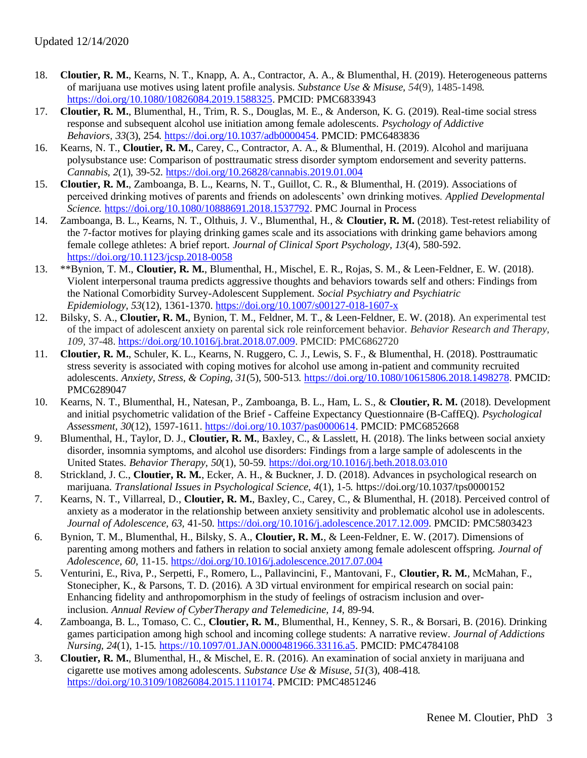- 18. **Cloutier, R. M.**, Kearns, N. T., Knapp, A. A., Contractor, A. A., & Blumenthal, H. (2019). Heterogeneous patterns of marijuana use motives using latent profile analysis. *Substance Use & Misuse, 54*(9), 1485-1498*.*  [https://doi.org/10.1080/10826084.2019.1588325.](https://doi.org/10.1080/10826084.2019.1588325) PMCID: PMC6833943
- 17. **Cloutier, R. M.**, Blumenthal, H., Trim, R. S., Douglas, M. E., & Anderson, K. G. (2019). Real-time social stress response and subsequent alcohol use initiation among female adolescents. *Psychology of Addictive Behaviors*, *33*(3), 254*.* [https://doi.org/10.1037/adb0000454.](https://doi.org/10.1037/adb0000454) PMCID: PMC6483836
- 16. Kearns, N. T., **Cloutier, R. M.**, Carey, C., Contractor, A. A., & Blumenthal, H. (2019). Alcohol and marijuana polysubstance use: Comparison of posttraumatic stress disorder symptom endorsement and severity patterns. *Cannabis, 2*(1), 39-52.<https://doi.org/10.26828/cannabis.2019.01.004>
- 15. **Cloutier, R. M.**, Zamboanga, B. L., Kearns, N. T., Guillot, C. R., & Blumenthal, H. (2019). Associations of perceived drinking motives of parents and friends on adolescents' own drinking motives. *Applied Developmental Science.* [https://doi.org/10.1080/10888691.2018.1537792.](https://doi.org/10.1080/10888691.2018.1537792) PMC Journal in Process
- 14. Zamboanga, B. L., Kearns, N. T., Olthuis, J. V., Blumenthal, H., & **Cloutier, R. M.** (2018). Test-retest reliability of the 7-factor motives for playing drinking games scale and its associations with drinking game behaviors among female college athletes: A brief report*. Journal of Clinical Sport Psychology, 13*(4)*,* 580-592. <https://doi.org/10.1123/jcsp.2018-0058>
- 13. \*\*Bynion, T. M., **Cloutier, R. M.**, Blumenthal, H., Mischel, E. R., Rojas, S. M., & Leen-Feldner, E. W. (2018). Violent interpersonal trauma predicts aggressive thoughts and behaviors towards self and others: Findings from the National Comorbidity Survey-Adolescent Supplement. *Social Psychiatry and Psychiatric Epidemiology, 53*(12)*,* 1361-1370[. https://doi.org/10.1007/s00127-018-1607-x](https://doi.org/10.1007/s00127-018-1607-x)
- 12. Bilsky, S. A., **Cloutier, R. M.**, Bynion, T. M., Feldner, M. T., & Leen-Feldner, E. W. (2018). An experimental test of the impact of adolescent anxiety on parental sick role reinforcement behavior. *Behavior Research and Therapy, 109,* 37-48. [https://doi.org/10.1016/j.brat.2018.07.009.](https://doi.org/10.1016/j.brat.2018.07.009) PMCID: PMC6862720
- 11. **Cloutier, R. M.**, Schuler, K. L., Kearns, N. Ruggero, C. J., Lewis, S. F., & Blumenthal, H. (2018). Posttraumatic stress severity is associated with coping motives for alcohol use among in-patient and community recruited adolescents. *Anxiety, Stress, & Coping, 31*(5), 500-513*.* [https://doi.org/10.1080/10615806.2018.1498278.](https://doi.org/10.1080/10615806.2018.1498278) PMCID: PMC6289047
- 10. Kearns, N. T., Blumenthal, H., Natesan, P., Zamboanga, B. L., Ham, L. S., & **Cloutier, R. M.** (2018). Development and initial psychometric validation of the Brief - Caffeine Expectancy Questionnaire (B-CaffEQ). *Psychological Assessment, 30*(12), 1597-1611. [https://doi.org/10.1037/pas0000614.](https://doi.org/10.1037/pas0000614) PMCID: PMC6852668
- 9. Blumenthal, H., Taylor, D. J., **Cloutier, R. M.**, Baxley, C., & Lasslett, H. (2018). The links between social anxiety disorder, insomnia symptoms, and alcohol use disorders: Findings from a large sample of adolescents in the United States. *Behavior Therapy, 50*(1)*,* 50-59.<https://doi.org/10.1016/j.beth.2018.03.010>
- 8. Strickland, J. C., **Cloutier, R. M.**, Ecker, A. H., & Buckner, J. D. (2018). Advances in psychological research on marijuana. *Translational Issues in Psychological Science, 4*(1), 1-5*.* https://doi.org/10.1037/tps0000152
- 7. Kearns, N. T., Villarreal, D., **Cloutier, R. M.**, Baxley, C., Carey, C., & Blumenthal, H. (2018). Perceived control of anxiety as a moderator in the relationship between anxiety sensitivity and problematic alcohol use in adolescents. *Journal of Adolescence, 63,* 41-50. [https://doi.org/10.1016/j.adolescence.2017.12.009.](https://doi.org/10.1016/j.adolescence.2017.12.009) PMCID: PMC5803423
- 6. Bynion, T. M., Blumenthal, H., Bilsky, S. A., **Cloutier, R. M.**, & Leen-Feldner, E. W. (2017). Dimensions of parenting among mothers and fathers in relation to social anxiety among female adolescent offspring. *Journal of Adolescence, 60,* 11-15.<https://doi.org/10.1016/j.adolescence.2017.07.004>
- 5. Venturini, E., Riva, P., Serpetti, F., Romero, L., Pallavincini, F., Mantovani, F., **Cloutier, R. M.**, McMahan, F., Stonecipher, K., & Parsons, T. D. (2016). A 3D virtual environment for empirical research on social pain: Enhancing fidelity and anthropomorphism in the study of feelings of ostracism inclusion and overinclusion. *Annual Review of CyberTherapy and Telemedicine, 14,* 89-94*.*
- 4. Zamboanga, B. L., Tomaso, C. C., **Cloutier, R. M.**, Blumenthal, H., Kenney, S. R., & Borsari, B. (2016). Drinking games participation among high school and incoming college students: A narrative review. *Journal of Addictions Nursing, 24*(1), 1-15*.* [https://10.1097/01.JAN.0000481966.33116.a5.](https://10.0.4.73/01.JAN.0000481966.33116.a5) PMCID: PMC4784108
- 3. **Cloutier, R. M.**, Blumenthal, H., & Mischel, E. R. (2016). An examination of social anxiety in marijuana and cigarette use motives among adolescents. *Substance Use & Misuse, 51*(3), 408-418*.*  [https://doi.org/10.3109/10826084.2015.1110174.](https://doi.org/10.3109/10826084.2015.1110174) PMCID: PMC4851246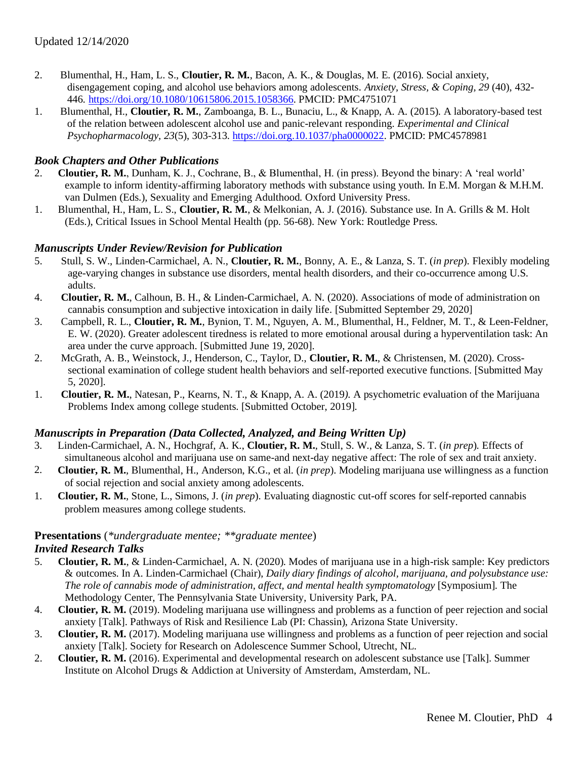- 2. Blumenthal, H., Ham, L. S., **Cloutier, R. M.**, Bacon, A. K., & Douglas, M. E. (2016). Social anxiety, disengagement coping, and alcohol use behaviors among adolescents. *Anxiety, Stress, & Coping, 29* (40), 432- 446*.* [https://doi.org/10.1080/10615806.2015.1058366.](https://doi.org/10.1080/10615806.2015.1058366) PMCID: PMC4751071
- 1. Blumenthal, H., **Cloutier, R. M.**, Zamboanga, B. L., Bunaciu, L., & Knapp, A. A. (2015). A laboratory-based test of the relation between adolescent alcohol use and panic-relevant responding. *Experimental and Clinical Psychopharmacology, 23*(5), 303-313. [https://doi.org.10.1037/pha0000022.](https://doi.org.10.1037/pha0000022) PMCID: PMC4578981

# *Book Chapters and Other Publications*

- 2. **Cloutier, R. M.**, Dunham, K. J., Cochrane, B., & Blumenthal, H. (in press). Beyond the binary: A 'real world' example to inform identity-affirming laboratory methods with substance using youth. In E.M. Morgan & M.H.M. van Dulmen (Eds.), Sexuality and Emerging Adulthood. Oxford University Press.
- 1. Blumenthal, H., Ham, L. S., **Cloutier, R. M.**, & Melkonian, A. J. (2016). Substance use. In A. Grills & M. Holt (Eds.), Critical Issues in School Mental Health (pp. 56-68). New York: Routledge Press.

# *Manuscripts Under Review/Revision for Publication*

- 5. Stull, S. W., Linden-Carmichael, A. N., **Cloutier, R. M.**, Bonny, A. E., & Lanza, S. T. (*in prep*). Flexibly modeling age-varying changes in substance use disorders, mental health disorders, and their co-occurrence among U.S. adults.
- 4. **Cloutier, R. M.**, Calhoun, B. H., & Linden-Carmichael, A. N. (2020). Associations of mode of administration on cannabis consumption and subjective intoxication in daily life. [Submitted September 29, 2020]
- 3. Campbell, R. L., **Cloutier, R. M.**, Bynion, T. M., Nguyen, A. M., Blumenthal, H., Feldner, M. T., & Leen-Feldner, E. W. (2020). Greater adolescent tiredness is related to more emotional arousal during a hyperventilation task: An area under the curve approach. [Submitted June 19, 2020].
- 2. McGrath, A. B., Weinstock, J., Henderson, C., Taylor, D., **Cloutier, R. M.**, & Christensen, M. (2020). Crosssectional examination of college student health behaviors and self-reported executive functions. [Submitted May 5, 2020].
- 1. **Cloutier, R. M.**, Natesan, P., Kearns, N. T., & Knapp, A. A. (2019*).* A psychometric evaluation of the Marijuana Problems Index among college students. [Submitted October, 2019].

## *Manuscripts in Preparation (Data Collected, Analyzed, and Being Written Up)*

- 3. Linden-Carmichael, A. N., Hochgraf, A. K., **Cloutier, R. M.**, Stull, S. W., & Lanza, S. T. (*in prep*). Effects of simultaneous alcohol and marijuana use on same-and next-day negative affect: The role of sex and trait anxiety.
- 2. **Cloutier, R. M.**, Blumenthal, H., Anderson, K.G., et al. (*in prep*). Modeling marijuana use willingness as a function of social rejection and social anxiety among adolescents.
- 1. **Cloutier, R. M.**, Stone, L., Simons, J. (*in prep*). Evaluating diagnostic cut-off scores for self-reported cannabis problem measures among college students.

# **Presentations** (*\*undergraduate mentee; \*\*graduate mentee*)

# *Invited Research Talks*

- 5. **Cloutier, R. M.**, & Linden-Carmichael, A. N. (2020). Modes of marijuana use in a high-risk sample: Key predictors & outcomes. In A. Linden-Carmichael (Chair), *Daily diary findings of alcohol, marijuana, and polysubstance use: The role of cannabis mode of administration, affect, and mental health symptomatology* [Symposium]. The Methodology Center, The Pennsylvania State University, University Park, PA.
- 4. **Cloutier, R. M.** (2019). Modeling marijuana use willingness and problems as a function of peer rejection and social anxiety [Talk]. Pathways of Risk and Resilience Lab (PI: Chassin), Arizona State University.
- 3. **Cloutier, R. M.** (2017). Modeling marijuana use willingness and problems as a function of peer rejection and social anxiety [Talk]. Society for Research on Adolescence Summer School, Utrecht, NL.
- 2. **Cloutier, R. M.** (2016). Experimental and developmental research on adolescent substance use [Talk]. Summer Institute on Alcohol Drugs & Addiction at University of Amsterdam, Amsterdam, NL.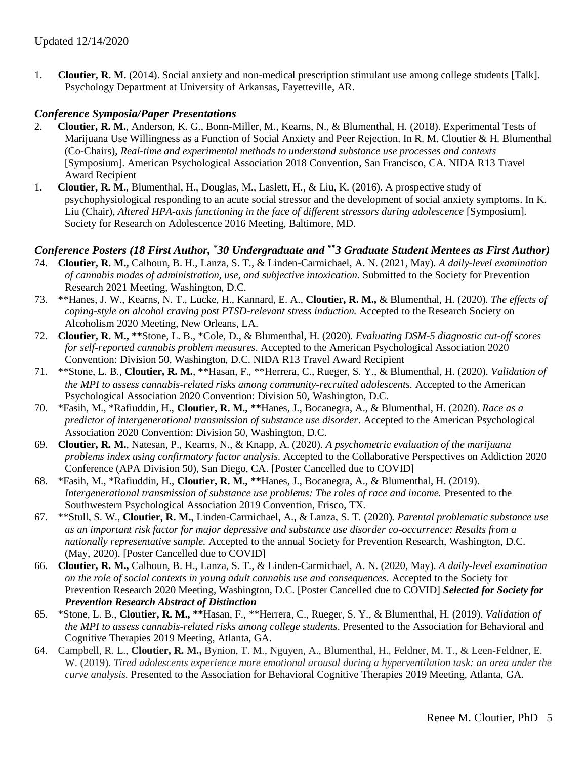1. **Cloutier, R. M.** (2014). Social anxiety and non-medical prescription stimulant use among college students [Talk]. Psychology Department at University of Arkansas, Fayetteville, AR.

## *Conference Symposia/Paper Presentations*

- 2. **Cloutier, R. M.**, Anderson, K. G., Bonn-Miller, M., Kearns, N., & Blumenthal, H. (2018). Experimental Tests of Marijuana Use Willingness as a Function of Social Anxiety and Peer Rejection. In R. M. Cloutier & H. Blumenthal (Co-Chairs), *Real-time and experimental methods to understand substance use processes and contexts* [Symposium]. American Psychological Association 2018 Convention, San Francisco, CA. NIDA R13 Travel Award Recipient
- 1. **Cloutier, R. M.**, Blumenthal, H., Douglas, M., Laslett, H., & Liu, K. (2016). A prospective study of psychophysiological responding to an acute social stressor and the development of social anxiety symptoms. In K. Liu (Chair), *Altered HPA-axis functioning in the face of different stressors during adolescence* [Symposium]. Society for Research on Adolescence 2016 Meeting, Baltimore, MD.

# *Conference Posters (18 First Author, \*30 Undergraduate and \*\*3 Graduate Student Mentees as First Author)*

- 74. **Cloutier, R. M.,** Calhoun, B. H., Lanza, S. T., & Linden-Carmichael, A. N. (2021, May). *A daily-level examination of cannabis modes of administration, use, and subjective intoxication.* Submitted to the Society for Prevention Research 2021 Meeting, Washington, D.C.
- 73. \*\*Hanes, J. W., Kearns, N. T., Lucke, H., Kannard, E. A., **Cloutier, R. M.,** & Blumenthal, H. (2020). *The effects of coping-style on alcohol craving post PTSD-relevant stress induction.* Accepted to the Research Society on Alcoholism 2020 Meeting, New Orleans, LA.
- 72. **Cloutier, R. M., \*\***Stone, L. B., \*Cole, D., & Blumenthal, H. (2020). *Evaluating DSM-5 diagnostic cut-off scores for self-reported cannabis problem measures*. Accepted to the American Psychological Association 2020 Convention: Division 50, Washington, D.C. NIDA R13 Travel Award Recipient
- 71. \*\*Stone, L. B., **Cloutier, R. M.**, \*\*Hasan, F., \*\*Herrera, C., Rueger, S. Y., & Blumenthal, H. (2020). *Validation of the MPI to assess cannabis-related risks among community-recruited adolescents.* Accepted to the American Psychological Association 2020 Convention: Division 50, Washington, D.C.
- 70. \*Fasih, M., \*Rafiuddin, H., **Cloutier, R. M., \*\***Hanes, J., Bocanegra, A., & Blumenthal, H. (2020). *Race as a predictor of intergenerational transmission of substance use disorder*. Accepted to the American Psychological Association 2020 Convention: Division 50, Washington, D.C.
- 69. **Cloutier, R. M.**, Natesan, P., Kearns, N., & Knapp, A. (2020). *A psychometric evaluation of the marijuana problems index using confirmatory factor analysis.* Accepted to the Collaborative Perspectives on Addiction 2020 Conference (APA Division 50), San Diego, CA. [Poster Cancelled due to COVID]
- 68. \*Fasih, M., \*Rafiuddin, H., **Cloutier, R. M., \*\***Hanes, J., Bocanegra, A., & Blumenthal, H. (2019). *Intergenerational transmission of substance use problems: The roles of race and income.* Presented to the Southwestern Psychological Association 2019 Convention, Frisco, TX.
- 67. \*\*Stull, S. W., **Cloutier, R. M.**, Linden-Carmichael, A., & Lanza, S. T. (2020). *Parental problematic substance use as an important risk factor for major depressive and substance use disorder co-occurrence: Results from a nationally representative sample.* Accepted to the annual Society for Prevention Research, Washington, D.C. (May, 2020). [Poster Cancelled due to COVID]
- 66. **Cloutier, R. M.,** Calhoun, B. H., Lanza, S. T., & Linden-Carmichael, A. N. (2020, May). *A daily-level examination on the role of social contexts in young adult cannabis use and consequences.* Accepted to the Society for Prevention Research 2020 Meeting, Washington, D.C. [Poster Cancelled due to COVID] *Selected for Society for Prevention Research Abstract of Distinction*
- 65. \*Stone, L. B., **Cloutier, R. M., \*\***Hasan, F., \*\*Herrera, C., Rueger, S. Y., & Blumenthal, H. (2019). *Validation of the MPI to assess cannabis-related risks among college students*. Presented to the Association for Behavioral and Cognitive Therapies 2019 Meeting, Atlanta, GA.
- 64. Campbell, R. L., **Cloutier, R. M.,** Bynion, T. M., Nguyen, A., Blumenthal, H., Feldner, M. T., & Leen-Feldner, E. W. (2019). *Tired adolescents experience more emotional arousal during a hyperventilation task: an area under the curve analysis.* Presented to the Association for Behavioral Cognitive Therapies 2019 Meeting, Atlanta, GA.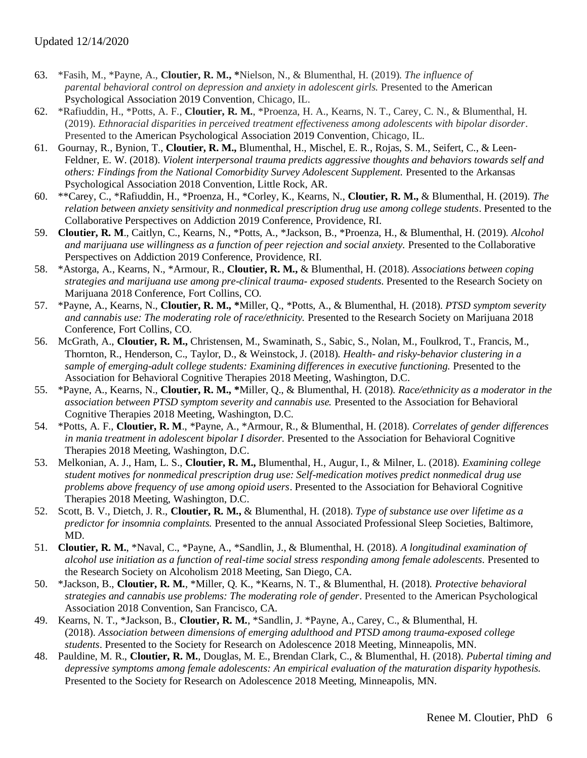- 63. \*Fasih, M., \*Payne, A., **Cloutier, R. M., \***Nielson, N., & Blumenthal, H. (2019). *The influence of parental behavioral control on depression and anxiety in adolescent girls.* Presented to the American Psychological Association 2019 Convention, Chicago, IL.
- 62. \*Rafiuddin, H., \*Potts, A. F., **Cloutier, R. M.**, \*Proenza, H. A., Kearns, N. T., Carey, C. N., & Blumenthal, H. (2019). *Ethnoracial disparities in perceived treatment effectiveness among adolescents with bipolar disorder*. Presented to the American Psychological Association 2019 Convention, Chicago, IL.
- 61. Gournay, R., Bynion, T., **Cloutier, R. M.,** Blumenthal, H., Mischel, E. R., Rojas, S. M., Seifert, C., & Leen-Feldner, E. W. (2018). *Violent interpersonal trauma predicts aggressive thoughts and behaviors towards self and others: Findings from the National Comorbidity Survey Adolescent Supplement.* Presented to the Arkansas Psychological Association 2018 Convention, Little Rock, AR.
- 60. \*\*Carey, C., \*Rafiuddin, H., \*Proenza, H., \*Corley, K., Kearns, N., **Cloutier, R. M.,** & Blumenthal, H. (2019). *The relation between anxiety sensitivity and nonmedical prescription drug use among college students*. Presented to the Collaborative Perspectives on Addiction 2019 Conference, Providence, RI.
- 59. **Cloutier, R. M**., Caitlyn, C., Kearns, N., \*Potts, A., \*Jackson, B., \*Proenza, H., & Blumenthal, H. (2019). *Alcohol and marijuana use willingness as a function of peer rejection and social anxiety.* Presented to the Collaborative Perspectives on Addiction 2019 Conference, Providence, RI.
- 58. \*Astorga, A., Kearns, N., \*Armour, R., **Cloutier, R. M.,** & Blumenthal, H. (2018). *Associations between coping strategies and marijuana use among pre-clinical trauma- exposed students*. Presented to the Research Society on Marijuana 2018 Conference, Fort Collins, CO.
- 57. \*Payne, A., Kearns, N., **Cloutier, R. M., \***Miller, Q., \*Potts, A., & Blumenthal, H. (2018). *PTSD symptom severity and cannabis use: The moderating role of race/ethnicity.* Presented to the Research Society on Marijuana 2018 Conference, Fort Collins, CO.
- 56. McGrath, A., **Cloutier, R. M.,** Christensen, M., Swaminath, S., Sabic, S., Nolan, M., Foulkrod, T., Francis, M., Thornton, R., Henderson, C., Taylor, D., & Weinstock, J. (2018). *Health- and risky-behavior clustering in a sample of emerging-adult college students: Examining differences in executive functioning.* Presented to the Association for Behavioral Cognitive Therapies 2018 Meeting, Washington, D.C.
- 55. \*Payne, A., Kearns, N., **Cloutier, R. M., \***Miller, Q., & Blumenthal, H. (2018). *Race/ethnicity as a moderator in the association between PTSD symptom severity and cannabis use.* Presented to the Association for Behavioral Cognitive Therapies 2018 Meeting, Washington, D.C.
- 54. \*Potts, A. F., **Cloutier, R. M**., \*Payne, A., \*Armour, R., & Blumenthal, H. (2018). *Correlates of gender differences in mania treatment in adolescent bipolar I disorder.* Presented to the Association for Behavioral Cognitive Therapies 2018 Meeting, Washington, D.C.
- 53. Melkonian, A. J., Ham, L. S., **Cloutier, R. M.,** Blumenthal, H., Augur, I., & Milner, L. (2018). *Examining college student motives for nonmedical prescription drug use: Self-medication motives predict nonmedical drug use problems above frequency of use among opioid users*. Presented to the Association for Behavioral Cognitive Therapies 2018 Meeting, Washington, D.C.
- 52. Scott, B. V., Dietch, J. R., **Cloutier, R. M.,** & Blumenthal, H. (2018). *Type of substance use over lifetime as a predictor for insomnia complaints.* Presented to the annual Associated Professional Sleep Societies, Baltimore, MD.
- 51. **Cloutier, R. M.**, \*Naval, C., \*Payne, A., \*Sandlin, J., & Blumenthal, H. (2018). *A longitudinal examination of alcohol use initiation as a function of real-time social stress responding among female adolescents.* Presented to the Research Society on Alcoholism 2018 Meeting, San Diego, CA.
- 50. \*Jackson, B., **Cloutier, R. M.**, \*Miller, Q. K., \*Kearns, N. T., & Blumenthal, H. (2018). *Protective behavioral strategies and cannabis use problems: The moderating role of gender*. Presented to the American Psychological Association 2018 Convention, San Francisco, CA.
- 49. Kearns, N. T., \*Jackson, B., **Cloutier, R. M.**, \*Sandlin, J. \*Payne, A., Carey, C., & Blumenthal, H. (2018). *Association between dimensions of emerging adulthood and PTSD among trauma-exposed college students*. Presented to the Society for Research on Adolescence 2018 Meeting, Minneapolis, MN.
- 48. Pauldine, M. R., **Cloutier, R. M.**, Douglas, M. E., Brendan Clark, C., & Blumenthal, H. (2018). *Pubertal timing and depressive symptoms among female adolescents: An empirical evaluation of the maturation disparity hypothesis.*  Presented to the Society for Research on Adolescence 2018 Meeting, Minneapolis, MN.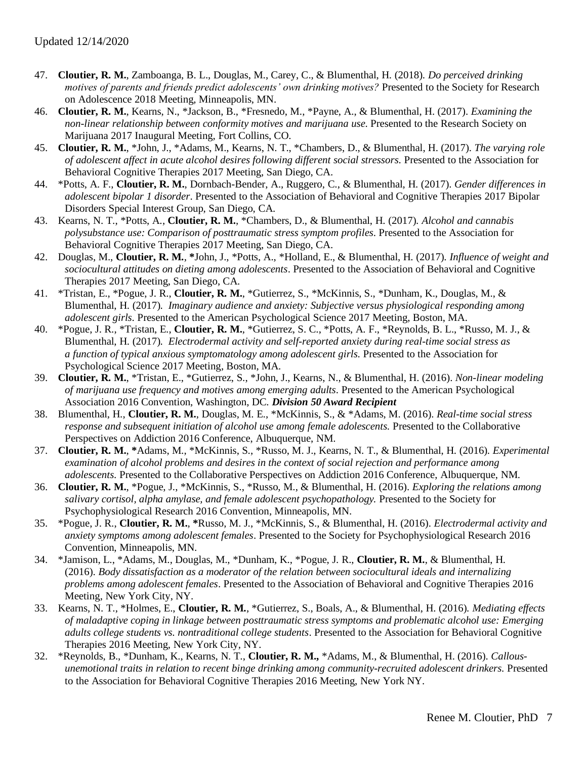- 47. **Cloutier, R. M.**, Zamboanga, B. L., Douglas, M., Carey, C., & Blumenthal, H. (2018). *Do perceived drinking motives of parents and friends predict adolescents' own drinking motives?* Presented to the Society for Research on Adolescence 2018 Meeting, Minneapolis, MN.
- 46. **Cloutier, R. M.**, Kearns, N., \*Jackson, B., \*Fresnedo, M., \*Payne, A., & Blumenthal, H. (2017). *Examining the non-linear relationship between conformity motives and marijuana use*. Presented to the Research Society on Marijuana 2017 Inaugural Meeting, Fort Collins, CO.
- 45. **Cloutier, R. M.**, \*John, J., \*Adams, M., Kearns, N. T., \*Chambers, D., & Blumenthal, H. (2017). *The varying role of adolescent affect in acute alcohol desires following different social stressors.* Presented to the Association for Behavioral Cognitive Therapies 2017 Meeting, San Diego, CA.
- 44. \*Potts, A. F., **Cloutier, R. M.**, Dornbach-Bender, A., Ruggero, C., & Blumenthal, H. (2017). *Gender differences in adolescent bipolar 1 disorder*. Presented to the Association of Behavioral and Cognitive Therapies 2017 Bipolar Disorders Special Interest Group, San Diego, CA.
- 43. Kearns, N. T., \*Potts, A., **Cloutier, R. M.**, \*Chambers, D., & Blumenthal, H. (2017). *Alcohol and cannabis polysubstance use: Comparison of posttraumatic stress symptom profiles*. Presented to the Association for Behavioral Cognitive Therapies 2017 Meeting, San Diego, CA.
- 42. Douglas, M., **Cloutier, R. M.**, **\***John, J., \*Potts, A., \*Holland, E., & Blumenthal, H. (2017). *Influence of weight and sociocultural attitudes on dieting among adolescents*. Presented to the Association of Behavioral and Cognitive Therapies 2017 Meeting, San Diego, CA.
- 41. \*Tristan, E., \*Pogue, J. R., **Cloutier, R. M.**, \*Gutierrez, S., \*McKinnis, S., \*Dunham, K., Douglas, M., & Blumenthal, H. (2017). *Imaginary audience and anxiety: Subjective versus physiological responding among adolescent girls.* Presented to the American Psychological Science 2017 Meeting, Boston, MA.
- 40. \*Pogue, J. R., \*Tristan, E., **Cloutier, R. M.**, \*Gutierrez, S. C., \*Potts, A. F., \*Reynolds, B. L., \*Russo, M. J., & Blumenthal, H. (2017). *Electrodermal activity and self-reported anxiety during real-time social stress as a function of typical anxious symptomatology among adolescent girls.* Presented to the Association for Psychological Science 2017 Meeting, Boston, MA.
- 39. **Cloutier, R. M.**, \*Tristan, E., \*Gutierrez, S., \*John, J., Kearns, N., & Blumenthal, H. (2016). *Non-linear modeling of marijuana use frequency and motives among emerging adults.* Presented to the American Psychological Association 2016 Convention, Washington, DC. *Division 50 Award Recipient*
- 38. Blumenthal, H., **Cloutier, R. M.**, Douglas, M. E., \*McKinnis, S., & \*Adams, M. (2016). *Real-time social stress response and subsequent initiation of alcohol use among female adolescents.* Presented to the Collaborative Perspectives on Addiction 2016 Conference, Albuquerque, NM.
- 37. **Cloutier, R. M.**, **\***Adams, M., \*McKinnis, S., \*Russo, M. J., Kearns, N. T., & Blumenthal, H. (2016). *Experimental examination of alcohol problems and desires in the context of social rejection and performance among adolescents.* Presented to the Collaborative Perspectives on Addiction 2016 Conference, Albuquerque, NM.
- 36. **Cloutier, R. M.**, \*Pogue, J., \*McKinnis, S., \*Russo, M., & Blumenthal, H. (2016). *Exploring the relations among salivary cortisol, alpha amylase, and female adolescent psychopathology.* Presented to the Society for Psychophysiological Research 2016 Convention, Minneapolis, MN.
- 35. \*Pogue, J. R., **Cloutier, R. M.**, **\***Russo, M. J., \*McKinnis, S., & Blumenthal, H. (2016). *Electrodermal activity and anxiety symptoms among adolescent females*. Presented to the Society for Psychophysiological Research 2016 Convention, Minneapolis, MN.
- 34. \*Jamison, L., \*Adams, M., Douglas, M., \*Dunham, K., \*Pogue, J. R., **Cloutier, R. M.**, & Blumenthal, H. (2016). *Body dissatisfaction as a moderator of the relation between sociocultural ideals and internalizing problems among adolescent females*. Presented to the Association of Behavioral and Cognitive Therapies 2016 Meeting, New York City, NY.
- 33. Kearns, N. T., \*Holmes, E., **Cloutier, R. M.**, \*Gutierrez, S., Boals, A., & Blumenthal, H. (2016). *Mediating effects of maladaptive coping in linkage between posttraumatic stress symptoms and problematic alcohol use: Emerging adults college students vs. nontraditional college students*. Presented to the Association for Behavioral Cognitive Therapies 2016 Meeting, New York City, NY.
- 32. \*Reynolds, B., \*Dunham, K., Kearns, N. T., **Cloutier, R. M.,** \*Adams, M., & Blumenthal, H. (2016). *Callousunemotional traits in relation to recent binge drinking among community-recruited adolescent drinkers.* Presented to the Association for Behavioral Cognitive Therapies 2016 Meeting, New York NY.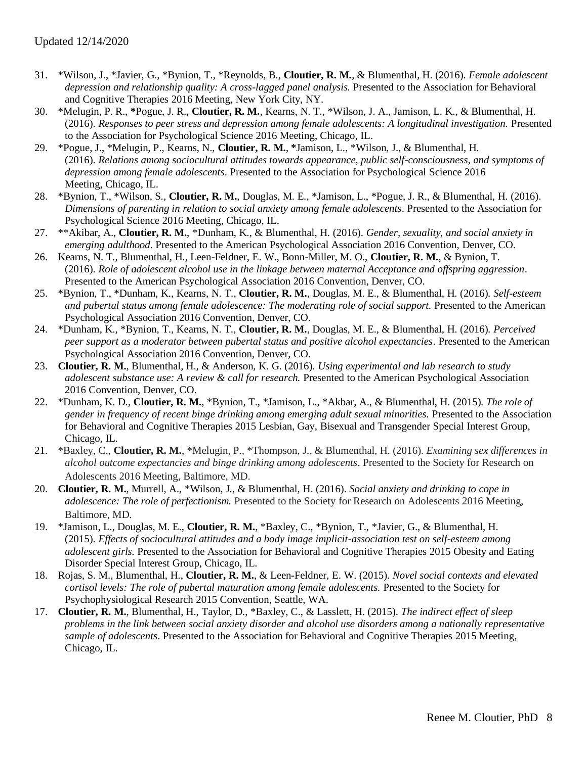- 31. \*Wilson, J., \*Javier, G., \*Bynion, T., \*Reynolds, B., **Cloutier, R. M.**, & Blumenthal, H. (2016). *Female adolescent depression and relationship quality: A cross-lagged panel analysis.* Presented to the Association for Behavioral and Cognitive Therapies 2016 Meeting, New York City, NY.
- 30. \*Melugin, P. R., **\***Pogue, J. R., **Cloutier, R. M.**, Kearns, N. T., \*Wilson, J. A., Jamison, L. K., & Blumenthal, H. (2016). *Responses to peer stress and depression among female adolescents: A longitudinal investigation.* Presented to the Association for Psychological Science 2016 Meeting, Chicago, IL.
- 29. \*Pogue, J., \*Melugin, P., Kearns, N., **Cloutier, R. M.**, **\***Jamison, L., \*Wilson, J., & Blumenthal, H. (2016). *Relations among sociocultural attitudes towards appearance, public self-consciousness, and symptoms of depression among female adolescents*. Presented to the Association for Psychological Science 2016 Meeting, Chicago, IL.
- 28. \*Bynion, T., \*Wilson, S., **Cloutier, R. M.**, Douglas, M. E., \*Jamison, L., \*Pogue, J. R., & Blumenthal, H. (2016). *Dimensions of parenting in relation to social anxiety among female adolescents*. Presented to the Association for Psychological Science 2016 Meeting, Chicago, IL.
- 27. \*\*Akibar, A., **Cloutier, R. M.**, \*Dunham, K., & Blumenthal, H. (2016). *Gender, sexuality, and social anxiety in emerging adulthood*. Presented to the American Psychological Association 2016 Convention, Denver, CO.
- 26. Kearns, N. T., Blumenthal, H., Leen-Feldner, E. W., Bonn-Miller, M. O., **Cloutier, R. M.**, & Bynion, T. (2016). *Role of adolescent alcohol use in the linkage between maternal Acceptance and offspring aggression*. Presented to the American Psychological Association 2016 Convention, Denver, CO.
- 25. \*Bynion, T., \*Dunham, K., Kearns, N. T., **Cloutier, R. M.**, Douglas, M. E., & Blumenthal, H. (2016). *Self-esteem and pubertal status among female adolescence: The moderating role of social support.* Presented to the American Psychological Association 2016 Convention, Denver, CO.
- 24. \*Dunham, K., \*Bynion, T., Kearns, N. T., **Cloutier, R. M.**, Douglas, M. E., & Blumenthal, H. (2016). *Perceived peer support as a moderator between pubertal status and positive alcohol expectancies*. Presented to the American Psychological Association 2016 Convention, Denver, CO.
- 23. **Cloutier, R. M.**, Blumenthal, H., & Anderson, K. G. (2016). *Using experimental and lab research to study adolescent substance use: A review & call for research.* Presented to the American Psychological Association 2016 Convention, Denver, CO.
- 22. \*Dunham, K. D., **Cloutier, R. M.**, \*Bynion, T., \*Jamison, L., \*Akbar, A., & Blumenthal, H. (2015). *The role of gender in frequency of recent binge drinking among emerging adult sexual minorities.* Presented to the Association for Behavioral and Cognitive Therapies 2015 Lesbian, Gay, Bisexual and Transgender Special Interest Group, Chicago, IL.
- 21. \*Baxley, C., **Cloutier, R. M.**, \*Melugin, P., \*Thompson, J., & Blumenthal, H. (2016). *Examining sex differences in alcohol outcome expectancies and binge drinking among adolescents*. Presented to the Society for Research on Adolescents 2016 Meeting, Baltimore, MD.
- 20. **Cloutier, R. M.**, Murrell, A., \*Wilson, J., & Blumenthal, H. (2016). *Social anxiety and drinking to cope in adolescence: The role of perfectionism.* Presented to the Society for Research on Adolescents 2016 Meeting, Baltimore, MD.
- 19. \*Jamison, L., Douglas, M. E., **Cloutier, R. M.**, \*Baxley, C., \*Bynion, T., \*Javier, G., & Blumenthal, H. (2015). *Effects of sociocultural attitudes and a body image implicit-association test on self-esteem among adolescent girls.* Presented to the Association for Behavioral and Cognitive Therapies 2015 Obesity and Eating Disorder Special Interest Group, Chicago, IL.
- 18. Rojas, S. M., Blumenthal, H., **Cloutier, R. M.**, & Leen-Feldner, E. W. (2015). *Novel social contexts and elevated cortisol levels: The role of pubertal maturation among female adolescents.* Presented to the Society for Psychophysiological Research 2015 Convention, Seattle, WA.
- 17. **Cloutier, R. M.**, Blumenthal, H., Taylor, D., \*Baxley, C., & Lasslett, H. (2015). *The indirect effect of sleep problems in the link between social anxiety disorder and alcohol use disorders among a nationally representative sample of adolescents*. Presented to the Association for Behavioral and Cognitive Therapies 2015 Meeting, Chicago, IL.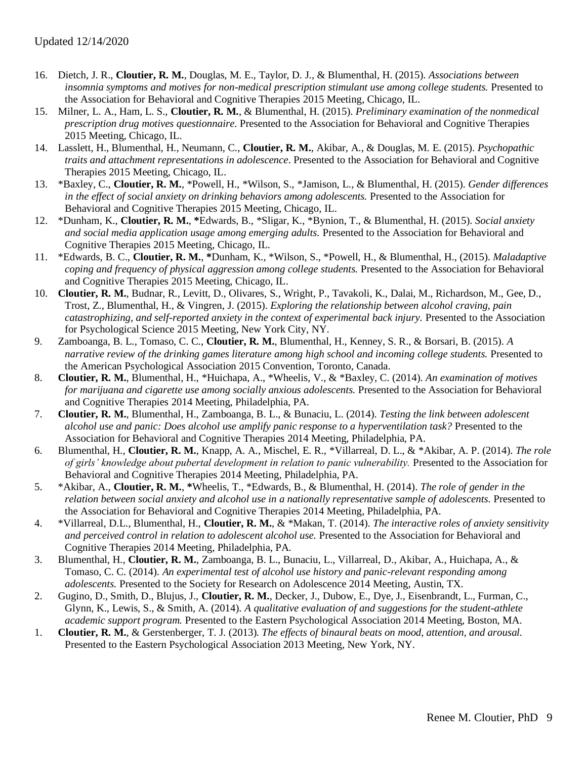- 16. Dietch, J. R., **Cloutier, R. M.**, Douglas, M. E., Taylor, D. J., & Blumenthal, H. (2015). *Associations between insomnia symptoms and motives for non-medical prescription stimulant use among college students.* Presented to the Association for Behavioral and Cognitive Therapies 2015 Meeting, Chicago, IL.
- 15. Milner, L. A., Ham, L. S., **Cloutier, R. M.**, & Blumenthal, H. (2015). *Preliminary examination of the nonmedical prescription drug motives questionnaire*. Presented to the Association for Behavioral and Cognitive Therapies 2015 Meeting, Chicago, IL.
- 14. Lasslett, H., Blumenthal, H., Neumann, C., **Cloutier, R. M.**, Akibar, A., & Douglas, M. E. (2015). *Psychopathic traits and attachment representations in adolescence*. Presented to the Association for Behavioral and Cognitive Therapies 2015 Meeting, Chicago, IL.
- 13. \*Baxley, C., **Cloutier, R. M.**, \*Powell, H., \*Wilson, S., \*Jamison, L., & Blumenthal, H. (2015). *Gender differences in the effect of social anxiety on drinking behaviors among adolescents.* Presented to the Association for Behavioral and Cognitive Therapies 2015 Meeting, Chicago, IL.
- 12. \*Dunham, K., **Cloutier, R. M.**, **\***Edwards, B., \*Sligar, K., \*Bynion, T., & Blumenthal, H. (2015). *Social anxiety and social media application usage among emerging adults.* Presented to the Association for Behavioral and Cognitive Therapies 2015 Meeting, Chicago, IL.
- 11. \*Edwards, B. C., **Cloutier, R. M.**, **\***Dunham, K., \*Wilson, S., \*Powell, H., & Blumenthal, H., (2015). *Maladaptive coping and frequency of physical aggression among college students.* Presented to the Association for Behavioral and Cognitive Therapies 2015 Meeting, Chicago, IL.
- 10. **Cloutier, R. M.**, Budnar, R., Levitt, D., Olivares, S., Wright, P., Tavakoli, K., Dalai, M., Richardson, M., Gee, D., Trost, Z., Blumenthal, H., & Vingren, J. (2015). *Exploring the relationship between alcohol craving, pain catastrophizing, and self-reported anxiety in the context of experimental back injury.* Presented to the Association for Psychological Science 2015 Meeting, New York City, NY.
- 9. Zamboanga, B. L., Tomaso, C. C., **Cloutier, R. M.**, Blumenthal, H., Kenney, S. R., & Borsari, B. (2015). *A narrative review of the drinking games literature among high school and incoming college students.* Presented to the American Psychological Association 2015 Convention, Toronto, Canada.
- 8. **Cloutier, R. M.**, Blumenthal, H., \*Huichapa, A., \*Wheelis, V., & \*Baxley, C. (2014). *An examination of motives for marijuana and cigarette use among socially anxious adolescents.* Presented to the Association for Behavioral and Cognitive Therapies 2014 Meeting, Philadelphia, PA.
- 7. **Cloutier, R. M.**, Blumenthal, H., Zamboanga, B. L., & Bunaciu, L. (2014). *Testing the link between adolescent alcohol use and panic: Does alcohol use amplify panic response to a hyperventilation task?* Presented to the Association for Behavioral and Cognitive Therapies 2014 Meeting, Philadelphia, PA.
- 6. Blumenthal, H., **Cloutier, R. M.**, Knapp, A. A., Mischel, E. R., \*Villarreal, D. L., & \*Akibar, A. P. (2014). *The role of girls' knowledge about pubertal development in relation to panic vulnerability.* Presented to the Association for Behavioral and Cognitive Therapies 2014 Meeting, Philadelphia, PA.
- 5. \*Akibar, A., **Cloutier, R. M.**, **\***Wheelis, T., \*Edwards, B., & Blumenthal, H. (2014). *The role of gender in the relation between social anxiety and alcohol use in a nationally representative sample of adolescents.* Presented to the Association for Behavioral and Cognitive Therapies 2014 Meeting, Philadelphia, PA.
- 4. \*Villarreal, D.L., Blumenthal, H., **Cloutier, R. M.**, & \*Makan, T. (2014). *The interactive roles of anxiety sensitivity and perceived control in relation to adolescent alcohol use.* Presented to the Association for Behavioral and Cognitive Therapies 2014 Meeting, Philadelphia, PA.
- 3. Blumenthal, H., **Cloutier, R. M.**, Zamboanga, B. L., Bunaciu, L., Villarreal, D., Akibar, A., Huichapa, A., & Tomaso, C. C. (2014). *An experimental test of alcohol use history and panic-relevant responding among adolescents.* Presented to the Society for Research on Adolescence 2014 Meeting, Austin, TX.
- 2. Gugino, D., Smith, D., Blujus, J., **Cloutier, R. M.**, Decker, J., Dubow, E., Dye, J., Eisenbrandt, L., Furman, C., Glynn, K., Lewis, S., & Smith, A. (2014). *A qualitative evaluation of and suggestions for the student-athlete academic support program.* Presented to the Eastern Psychological Association 2014 Meeting, Boston, MA.
- 1. **Cloutier, R. M.**, & Gerstenberger, T. J. (2013). *The effects of binaural beats on mood, attention, and arousal.*  Presented to the Eastern Psychological Association 2013 Meeting, New York, NY.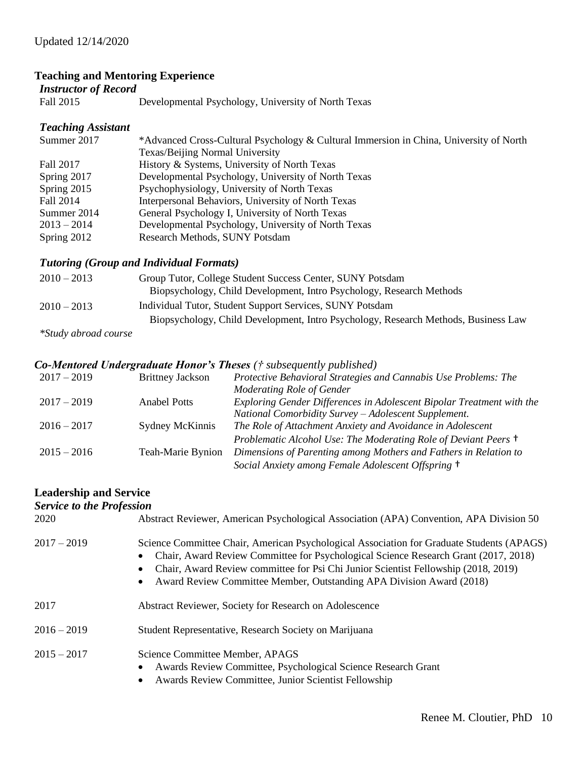# **Teaching and Mentoring Experience**

# *Instructor of Record*

Fall 2015 Developmental Psychology, University of North Texas

# *Teaching Assistant*

| Summer 2017   | *Advanced Cross-Cultural Psychology & Cultural Immersion in China, University of North |
|---------------|----------------------------------------------------------------------------------------|
|               | Texas/Beijing Normal University                                                        |
| Fall 2017     | History & Systems, University of North Texas                                           |
| Spring 2017   | Developmental Psychology, University of North Texas                                    |
| Spring 2015   | Psychophysiology, University of North Texas                                            |
| Fall 2014     | Interpersonal Behaviors, University of North Texas                                     |
| Summer 2014   | General Psychology I, University of North Texas                                        |
| $2013 - 2014$ | Developmental Psychology, University of North Texas                                    |
| Spring 2012   | Research Methods, SUNY Potsdam                                                         |

## *Tutoring (Group and Individual Formats)*

| $2010 - 2013$               | Group Tutor, College Student Success Center, SUNY Potsdam                          |
|-----------------------------|------------------------------------------------------------------------------------|
|                             | Biopsychology, Child Development, Intro Psychology, Research Methods               |
| $2010 - 2013$               | Individual Tutor, Student Support Services, SUNY Potsdam                           |
|                             | Biopsychology, Child Development, Intro Psychology, Research Methods, Business Law |
| <i>*Study abroad course</i> |                                                                                    |

# *Co-Mentored Undergraduate Honor's Theses († subsequently published)*

| <b>Brittney Jackson</b> | Protective Behavioral Strategies and Cannabis Use Problems: The       |
|-------------------------|-----------------------------------------------------------------------|
|                         | Moderating Role of Gender                                             |
| <b>Anabel Potts</b>     | Exploring Gender Differences in Adolescent Bipolar Treatment with the |
|                         | National Comorbidity Survey - Adolescent Supplement.                  |
| Sydney McKinnis         | The Role of Attachment Anxiety and Avoidance in Adolescent            |
|                         | Problematic Alcohol Use: The Moderating Role of Deviant Peers +       |
| Teah-Marie Bynion       | Dimensions of Parenting among Mothers and Fathers in Relation to      |
|                         | Social Anxiety among Female Adolescent Offspring +                    |
|                         |                                                                       |

# **Leadership and Service**

| <b>Service to the Profession</b> |                                                                                                                                                                                                                                                                                                                                                     |
|----------------------------------|-----------------------------------------------------------------------------------------------------------------------------------------------------------------------------------------------------------------------------------------------------------------------------------------------------------------------------------------------------|
| 2020                             | Abstract Reviewer, American Psychological Association (APA) Convention, APA Division 50                                                                                                                                                                                                                                                             |
| $2017 - 2019$                    | Science Committee Chair, American Psychological Association for Graduate Students (APAGS)<br>Chair, Award Review Committee for Psychological Science Research Grant (2017, 2018)<br>Chair, Award Review committee for Psi Chi Junior Scientist Fellowship (2018, 2019)<br>Award Review Committee Member, Outstanding APA Division Award (2018)<br>٠ |
| 2017                             | Abstract Reviewer, Society for Research on Adolescence                                                                                                                                                                                                                                                                                              |
| $2016 - 2019$                    | Student Representative, Research Society on Marijuana                                                                                                                                                                                                                                                                                               |
| $2015 - 2017$                    | Science Committee Member, APAGS<br>Awards Review Committee, Psychological Science Research Grant<br>Awards Review Committee, Junior Scientist Fellowship<br>٠                                                                                                                                                                                       |
|                                  |                                                                                                                                                                                                                                                                                                                                                     |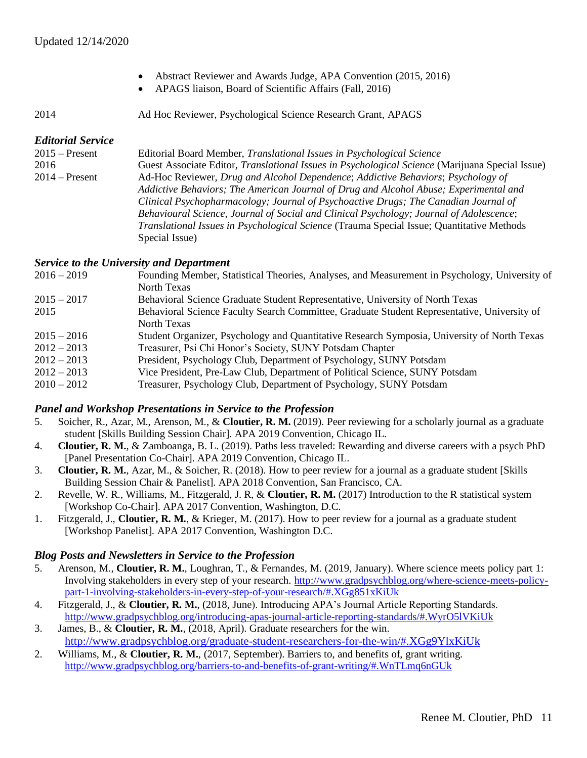- Abstract Reviewer and Awards Judge, APA Convention (2015, 2016)
- APAGS liaison, Board of Scientific Affairs (Fall, 2016)

2014 Ad Hoc Reviewer, Psychological Science Research Grant, APAGS

#### *Editorial Service*

2015 – Present Editorial Board Member, *Translational Issues in Psychological Science* 2016 Guest Associate Editor, *Translational Issues in Psychological Science* (Marijuana Special Issue) 2014 – Present Ad-Hoc Reviewer, *Drug and Alcohol Dependence*; *Addictive Behaviors*; *Psychology of Addictive Behaviors; The American Journal of Drug and Alcohol Abuse; Experimental and Clinical Psychopharmacology; Journal of Psychoactive Drugs; The Canadian Journal of Behavioural Science, Journal of Social and Clinical Psychology; Journal of Adolescence*; *Translational Issues in Psychological Science* (Trauma Special Issue; Quantitative Methods Special Issue)

#### *Service to the University and Department*

| Founding Member, Statistical Theories, Analyses, and Measurement in Psychology, University of |
|-----------------------------------------------------------------------------------------------|
| North Texas                                                                                   |
| Behavioral Science Graduate Student Representative, University of North Texas                 |
| Behavioral Science Faculty Search Committee, Graduate Student Representative, University of   |
| North Texas                                                                                   |
| Student Organizer, Psychology and Quantitative Research Symposia, University of North Texas   |
| Treasurer, Psi Chi Honor's Society, SUNY Potsdam Chapter                                      |
| President, Psychology Club, Department of Psychology, SUNY Potsdam                            |
| Vice President, Pre-Law Club, Department of Political Science, SUNY Potsdam                   |
| Treasurer, Psychology Club, Department of Psychology, SUNY Potsdam                            |
|                                                                                               |

## *Panel and Workshop Presentations in Service to the Profession*

- 5. Soicher, R., Azar, M., Arenson, M., & **Cloutier, R. M.** (2019). Peer reviewing for a scholarly journal as a graduate student [Skills Building Session Chair]. APA 2019 Convention, Chicago IL.
- 4. **Cloutier, R. M.**, & Zamboanga, B. L. (2019). Paths less traveled: Rewarding and diverse careers with a psych PhD [Panel Presentation Co-Chair]. APA 2019 Convention, Chicago IL.
- 3. **Cloutier, R. M.**, Azar, M., & Soicher, R. (2018). How to peer review for a journal as a graduate student [Skills Building Session Chair & Panelist]. APA 2018 Convention, San Francisco, CA.
- 2. Revelle, W. R., Williams, M., Fitzgerald, J. R, & **Cloutier, R. M.** (2017) Introduction to the R statistical system [Workshop Co-Chair]. APA 2017 Convention, Washington, D.C.
- 1. Fitzgerald, J., **Cloutier, R. M.**, & Krieger, M. (2017). How to peer review for a journal as a graduate student [Workshop Panelist]. APA 2017 Convention, Washington D.C.

#### *Blog Posts and Newsletters in Service to the Profession*

- 5. Arenson, M., **Cloutier, R. M.**, Loughran, T., & Fernandes, M. (2019, January). Where science meets policy part 1: Involving stakeholders in every step of your research. [http://www.gradpsychblog.org/where-science-meets-policy](http://www.gradpsychblog.org/where-science-meets-policy-part-1-involving-stakeholders-in-every-step-of-your-research/#.XGg851xKiUk)[part-1-involving-stakeholders-in-every-step-of-your-research/#.XGg851xKiUk](http://www.gradpsychblog.org/where-science-meets-policy-part-1-involving-stakeholders-in-every-step-of-your-research/#.XGg851xKiUk)
- 4. Fitzgerald, J., & **Cloutier, R. M.**, (2018, June). Introducing APA's Journal Article Reporting Standards. <http://www.gradpsychblog.org/introducing-apas-journal-article-reporting-standards/#.WyrO5lVKiUk>
- 3. James, B., & **Cloutier, R. M.**, (2018, April). Graduate researchers for the win. <http://www.gradpsychblog.org/graduate-student-researchers-for-the-win/#.XGg9YlxKiUk>
- 2. Williams, M., & **Cloutier, R. M.**, (2017, September). Barriers to, and benefits of, grant writing. <http://www.gradpsychblog.org/barriers-to-and-benefits-of-grant-writing/#.WnTLmq6nGUk>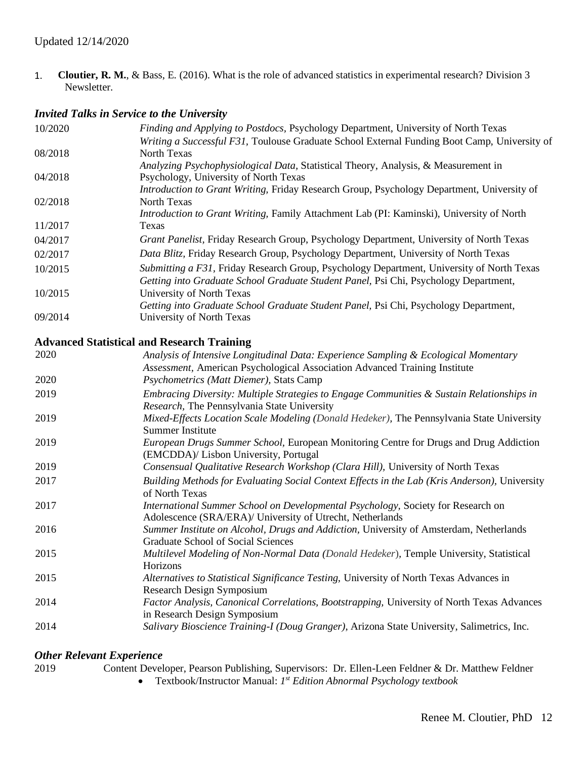1. **Cloutier, R. M.**, & Bass, E. (2016). What is the role of advanced statistics in experimental research? Division 3 Newsletter.

# *Invited Talks in Service to the University*

| 10/2020 | Finding and Applying to Postdocs, Psychology Department, University of North Texas                               |
|---------|------------------------------------------------------------------------------------------------------------------|
|         | Writing a Successful F31, Toulouse Graduate School External Funding Boot Camp, University of                     |
| 08/2018 | North Texas                                                                                                      |
|         | Analyzing Psychophysiological Data, Statistical Theory, Analysis, & Measurement in                               |
| 04/2018 | Psychology, University of North Texas                                                                            |
|         | Introduction to Grant Writing, Friday Research Group, Psychology Department, University of                       |
| 02/2018 | North Texas                                                                                                      |
|         | Introduction to Grant Writing, Family Attachment Lab (PI: Kaminski), University of North                         |
| 11/2017 | Texas                                                                                                            |
| 04/2017 | Grant Panelist, Friday Research Group, Psychology Department, University of North Texas                          |
| 02/2017 | Data Blitz, Friday Research Group, Psychology Department, University of North Texas                              |
| 10/2015 | Submitting a F31, Friday Research Group, Psychology Department, University of North Texas                        |
|         | Getting into Graduate School Graduate Student Panel, Psi Chi, Psychology Department,                             |
| 10/2015 | University of North Texas                                                                                        |
|         | Getting into Graduate School Graduate Student Panel, Psi Chi, Psychology Department,                             |
| 09/2014 | University of North Texas                                                                                        |
|         | <b>Advanced Statistical and Research Training</b>                                                                |
| 2020    | Analysis of Intensive Longitudinal Data: Experience Sampling & Ecological Momentary                              |
|         | Assessment, American Psychological Association Advanced Training Institute                                       |
| 2020    | $D_{\text{cyc}}$ $\lambda_{\text{cyc}}$ $(M_{\alpha t}, D_{\text{cyc}})$ $\lambda_{\text{tct}}$ $C_{\text{cyc}}$ |

|      | <i>Assessment</i> , American Psychological Association Advanced Training Institute                                                            |
|------|-----------------------------------------------------------------------------------------------------------------------------------------------|
| 2020 | <i>Psychometrics (Matt Diemer), Stats Camp</i>                                                                                                |
| 2019 | Embracing Diversity: Multiple Strategies to Engage Communities & Sustain Relationships in<br>Research, The Pennsylvania State University      |
| 2019 | Mixed-Effects Location Scale Modeling (Donald Hedeker), The Pennsylvania State University<br>Summer Institute                                 |
| 2019 | European Drugs Summer School, European Monitoring Centre for Drugs and Drug Addiction<br>(EMCDDA)/ Lisbon University, Portugal                |
| 2019 | Consensual Qualitative Research Workshop (Clara Hill), University of North Texas                                                              |
| 2017 | Building Methods for Evaluating Social Context Effects in the Lab (Kris Anderson), University<br>of North Texas                               |
| 2017 | International Summer School on Developmental Psychology, Society for Research on<br>Adolescence (SRA/ERA)/ University of Utrecht, Netherlands |
| 2016 | Summer Institute on Alcohol, Drugs and Addiction, University of Amsterdam, Netherlands<br>Graduate School of Social Sciences                  |
| 2015 | Multilevel Modeling of Non-Normal Data (Donald Hedeker), Temple University, Statistical<br>Horizons                                           |
| 2015 | Alternatives to Statistical Significance Testing, University of North Texas Advances in<br>Research Design Symposium                          |
| 2014 | Factor Analysis, Canonical Correlations, Bootstrapping, University of North Texas Advances<br>in Research Design Symposium                    |
| 2014 | Salivary Bioscience Training-I (Doug Granger), Arizona State University, Salimetrics, Inc.                                                    |
|      |                                                                                                                                               |

# *Other Relevant Experience*

| 2019 | Content Developer, Pearson Publishing, Supervisors: Dr. Ellen-Leen Feldner & Dr. Matthew Feldner |
|------|--------------------------------------------------------------------------------------------------|
|      |                                                                                                  |

• Textbook/Instructor Manual: *1 st Edition Abnormal Psychology textbook*